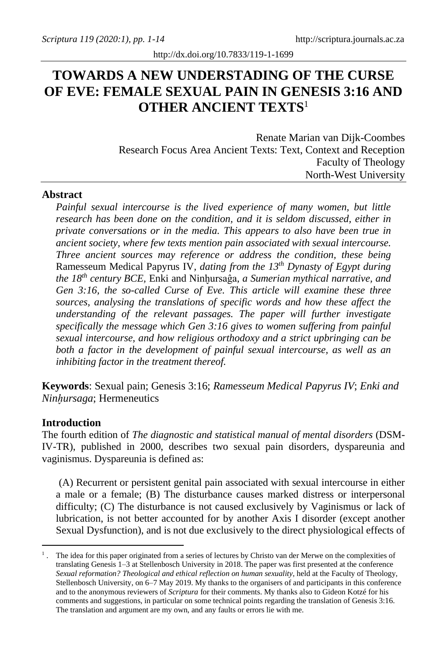# **TOWARDS A NEW UNDERSTADING OF THE CURSE OF EVE: FEMALE SEXUAL PAIN IN GENESIS 3:16 AND OTHER ANCIENT TEXTS**<sup>1</sup>

Renate Marian van Dijk-Coombes Research Focus Area Ancient Texts: Text, Context and Reception Faculty of Theology North-West University

#### **Abstract**

*Painful sexual intercourse is the lived experience of many women, but little research has been done on the condition, and it is seldom discussed, either in private conversations or in the media. This appears to also have been true in ancient society, where few texts mention pain associated with sexual intercourse. Three ancient sources may reference or address the condition, these being*  Ramesseum Medical Papyrus IV*, dating from the 13th Dynasty of Egypt during the 18th century BCE,* Enki and Ninh̬ursaĝa*, a Sumerian mythical narrative, and Gen 3:16, the so-called Curse of Eve. This article will examine these three sources, analysing the translations of specific words and how these affect the understanding of the relevant passages. The paper will further investigate specifically the message which Gen 3:16 gives to women suffering from painful sexual intercourse, and how religious orthodoxy and a strict upbringing can be both a factor in the development of painful sexual intercourse, as well as an inhibiting factor in the treatment thereof.*

**Keywords**: Sexual pain; Genesis 3:16; *Ramesseum Medical Papyrus IV*; *Enki and Ninh̬ursaga*; Hermeneutics

#### **Introduction**

The fourth edition of *The diagnostic and statistical manual of mental disorders* (DSM-IV-TR), published in 2000, describes two sexual pain disorders, dyspareunia and vaginismus. Dyspareunia is defined as:

(A) Recurrent or persistent genital pain associated with sexual intercourse in either a male or a female; (B) The disturbance causes marked distress or interpersonal difficulty; (C) The disturbance is not caused exclusively by Vaginismus or lack of lubrication, is not better accounted for by another Axis I disorder (except another Sexual Dysfunction), and is not due exclusively to the direct physiological effects of

<sup>&</sup>lt;sup>1</sup>. The idea for this paper originated from a series of lectures by Christo van der Merwe on the complexities of translating Genesis 1–3 at Stellenbosch University in 2018. The paper was first presented at the conference *Sexual reformation? Theological and ethical reflection on human sexuality*, held at the Faculty of Theology, Stellenbosch University, on 6–7 May 2019. My thanks to the organisers of and participants in this conference and to the anonymous reviewers of *Scriptura* for their comments. My thanks also to Gideon Kotzé for his comments and suggestions, in particular on some technical points regarding the translation of Genesis 3:16. The translation and argument are my own, and any faults or errors lie with me.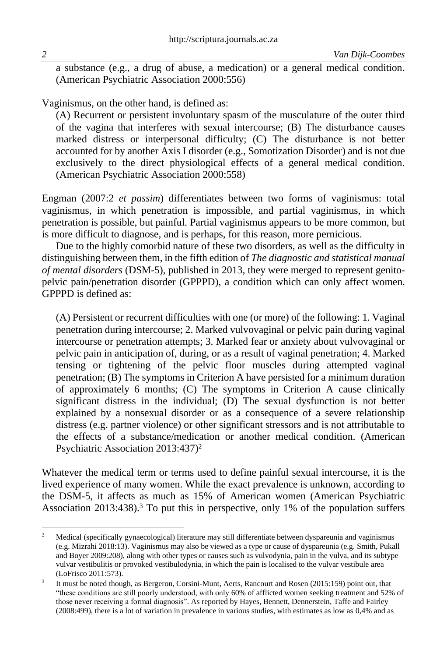a substance (e.g., a drug of abuse, a medication) or a general medical condition. (American Psychiatric Association 2000:556)

Vaginismus, on the other hand, is defined as:

(A) Recurrent or persistent involuntary spasm of the musculature of the outer third of the vagina that interferes with sexual intercourse; (B) The disturbance causes marked distress or interpersonal difficulty; (C) The disturbance is not better accounted for by another Axis I disorder (e.g., Somotization Disorder) and is not due exclusively to the direct physiological effects of a general medical condition. (American Psychiatric Association 2000:558)

Engman (2007:2 *et passim*) differentiates between two forms of vaginismus: total vaginismus, in which penetration is impossible, and partial vaginismus, in which penetration is possible, but painful. Partial vaginismus appears to be more common, but is more difficult to diagnose, and is perhaps, for this reason, more pernicious.

Due to the highly comorbid nature of these two disorders, as well as the difficulty in distinguishing between them, in the fifth edition of *The diagnostic and statistical manual of mental disorders* (DSM-5), published in 2013, they were merged to represent genitopelvic pain/penetration disorder (GPPPD), a condition which can only affect women. GPPPD is defined as:

(A) Persistent or recurrent difficulties with one (or more) of the following: 1. Vaginal penetration during intercourse; 2. Marked vulvovaginal or pelvic pain during vaginal intercourse or penetration attempts; 3. Marked fear or anxiety about vulvovaginal or pelvic pain in anticipation of, during, or as a result of vaginal penetration; 4. Marked tensing or tightening of the pelvic floor muscles during attempted vaginal penetration; (B) The symptoms in Criterion A have persisted for a minimum duration of approximately 6 months; (C) The symptoms in Criterion A cause clinically significant distress in the individual; (D) The sexual dysfunction is not better explained by a nonsexual disorder or as a consequence of a severe relationship distress (e.g. partner violence) or other significant stressors and is not attributable to the effects of a substance/medication or another medical condition. (American Psychiatric Association 2013:437)<sup>2</sup>

Whatever the medical term or terms used to define painful sexual intercourse, it is the lived experience of many women. While the exact prevalence is unknown, according to the DSM-5, it affects as much as 15% of American women (American Psychiatric Association 2013:438). <sup>3</sup> To put this in perspective, only 1% of the population suffers

<sup>&</sup>lt;sup>2</sup> Medical (specifically gynaecological) literature may still differentiate between dyspareunia and vaginismus (e.g. Mizrahi 2018:13). Vaginismus may also be viewed as a type or cause of dyspareunia (e.g. Smith, Pukall and Boyer 2009:208), along with other types or causes such as vulvodynia, pain in the vulva, and its subtype vulvar vestibulitis or provoked vestibulodynia, in which the pain is localised to the vulvar vestibule area (LoFrisco 2011:573).

<sup>3</sup> It must be noted though, as Bergeron, Corsini-Munt, Aerts, Rancourt and Rosen (2015:159) point out, that "these conditions are still poorly understood, with only 60% of afflicted women seeking treatment and 52% of those never receiving a formal diagnosis". As reported by Hayes, Bennett, Dennerstein, Taffe and Fairley (2008:499), there is a lot of variation in prevalence in various studies, with estimates as low as 0,4% and as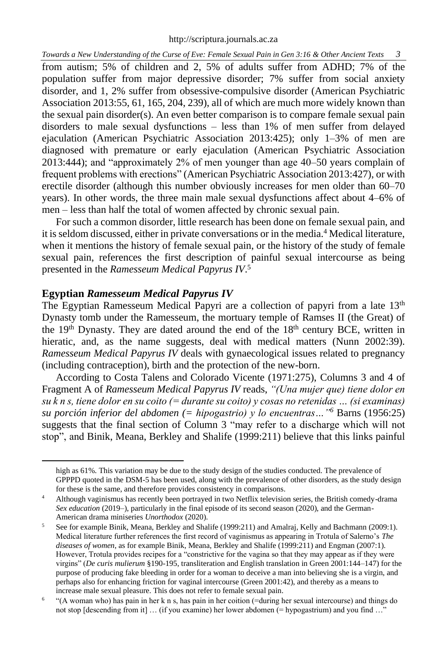from autism; 5% of children and 2, 5% of adults suffer from ADHD; 7% of the population suffer from major depressive disorder; 7% suffer from social anxiety disorder, and 1, 2% suffer from obsessive-compulsive disorder (American Psychiatric Association 2013:55, 61, 165, 204, 239), all of which are much more widely known than the sexual pain disorder(s). An even better comparison is to compare female sexual pain disorders to male sexual dysfunctions – less than 1% of men suffer from delayed ejaculation (American Psychiatric Association 2013:425); only 1–3% of men are diagnosed with premature or early ejaculation (American Psychiatric Association 2013:444); and "approximately 2% of men younger than age 40–50 years complain of frequent problems with erections" (American Psychiatric Association 2013:427), or with erectile disorder (although this number obviously increases for men older than 60–70 years). In other words, the three main male sexual dysfunctions affect about 4–6% of men – less than half the total of women affected by chronic sexual pain.

For such a common disorder, little research has been done on female sexual pain, and it is seldom discussed, either in private conversations or in the media.<sup>4</sup> Medical literature, when it mentions the history of female sexual pain, or the history of the study of female sexual pain, references the first description of painful sexual intercourse as being presented in the *Ramesseum Medical Papyrus IV*. 5

#### **Egyptian** *Ramesseum Medical Papyrus IV*

The Egyptian Ramesseum Medical Papyri are a collection of papyri from a late  $13<sup>th</sup>$ Dynasty tomb under the Ramesseum, the mortuary temple of Ramses II (the Great) of the 19<sup>th</sup> Dynasty. They are dated around the end of the  $18<sup>th</sup>$  century BCE, written in hieratic, and, as the name suggests, deal with medical matters (Nunn 2002:39). *Ramesseum Medical Papyrus IV* deals with gynaecological issues related to pregnancy (including contraception), birth and the protection of the new-born.

According to Costa Talens and Colorado Vicente (1971:275), Columns 3 and 4 of Fragment A of *Ramesseum Medical Papyrus IV* reads, *"(Una mujer que) tiene dolor en su k n s, tiene dolor en su coito (= durante su coito) y cosas no retenidas … (si examinas) su porción inferior del abdomen (= hipogastrio) y lo encuentras…"<sup>6</sup>* Barns (1956:25) suggests that the final section of Column 3 "may refer to a discharge which will not stop", and Binik, Meana, Berkley and Shalife (1999:211) believe that this links painful

high as 61%. This variation may be due to the study design of the studies conducted. The prevalence of GPPPD quoted in the DSM-5 has been used, along with the prevalence of other disorders, as the study design for these is the same, and therefore provides consistency in comparisons.

<sup>4</sup> Although vaginismus has recently been portrayed in two Netflix television series, the British comedy-drama *Sex education* (2019–), particularly in the final episode of its second season (2020), and the German-American drama miniseries *Unorthodox* (2020).

<sup>5</sup> See for example Binik, Meana, Berkley and Shalife (1999:211) and Amalraj, Kelly and Bachmann (2009:1). Medical literature further references the first record of vaginismus as appearing in Trotula of Salerno's *The diseases of women*, as for example Binik, Meana, Berkley and Shalife (1999:211) and Engman (2007:1). However, Trotula provides recipes for a "constrictive for the vagina so that they may appear as if they were virgins" (*De curis mulierum* §190-195, transliteration and English translation in Green 2001:144–147) for the purpose of producing fake bleeding in order for a woman to deceive a man into believing she is a virgin, and perhaps also for enhancing friction for vaginal intercourse (Green 2001:42), and thereby as a means to increase male sexual pleasure. This does not refer to female sexual pain.

<sup>6</sup> "(A woman who) has pain in her k n s, has pain in her coition (=during her sexual intercourse) and things do not stop [descending from it] … (if you examine) her lower abdomen (= hypogastrium) and you find …"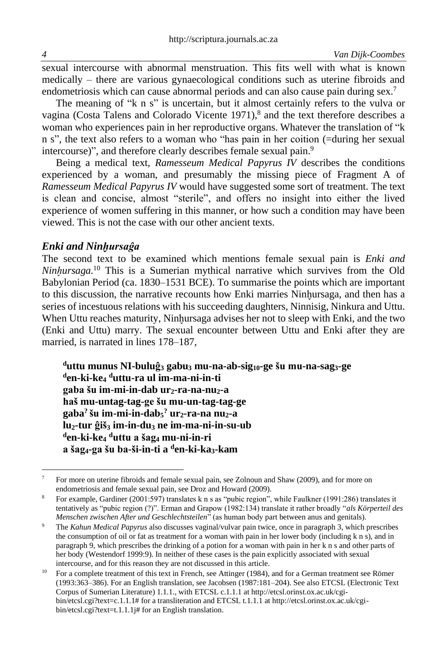sexual intercourse with abnormal menstruation. This fits well with what is known medically – there are various gynaecological conditions such as uterine fibroids and endometriosis which can cause abnormal periods and can also cause pain during sex.<sup>7</sup>

The meaning of "k n s" is uncertain, but it almost certainly refers to the vulva or vagina (Costa Talens and Colorado Vicente 1971), <sup>8</sup> and the text therefore describes a woman who experiences pain in her reproductive organs. Whatever the translation of "k n s", the text also refers to a woman who "has pain in her coition (=during her sexual intercourse)", and therefore clearly describes female sexual pain.<sup>9</sup>

Being a medical text, *Ramesseum Medical Papyrus IV* describes the conditions experienced by a woman, and presumably the missing piece of Fragment A of *Ramesseum Medical Papyrus IV* would have suggested some sort of treatment. The text is clean and concise, almost "sterile", and offers no insight into either the lived experience of women suffering in this manner, or how such a condition may have been viewed. This is not the case with our other ancient texts.

#### *Enki and Ninh̬ursaĝa*

The second text to be examined which mentions female sexual pain is *Enki and Ninhursaga*.<sup>10</sup> This is a Sumerian mythical narrative which survives from the Old Babylonian Period (ca. 1830–1531 BCE). To summarise the points which are important to this discussion, the narrative recounts how Enki marries Ninhursaga, and then has a series of incestuous relations with his succeeding daughters, Ninnisig, Ninkura and Uttu. When Uttu reaches maturity, Ninhursaga advises her not to sleep with Enki, and the two (Enki and Uttu) marry. The sexual encounter between Uttu and Enki after they are married, is narrated in lines 178–187,

**<sup>d</sup>uttu munus NI-buluĝ<sup>3</sup> gabu<sup>3</sup> mu-na-ab-sig10-ge šu mu-na-sag3-ge <sup>d</sup>en-ki-ke<sup>4</sup> <sup>d</sup>uttu-ra ul im-ma-ni-in-ti gaba šu im-mi-in-dab ur2-ra-na-nu2-a haš mu-untag-tag-ge šu mu-un-tag-tag-ge gaba? šu im-mi-in-dab<sup>5</sup> ? ur2-ra-na nu2-a lu2-tur ĝiš<sup>3</sup> im-in-du<sup>3</sup> ne im-ma-ni-in-su-ub <sup>d</sup>en-ki-ke<sup>4</sup> <sup>d</sup>uttu a šag<sup>4</sup> mu-ni-in-ri a šag4-ga šu ba-ši-in-ti a <sup>d</sup>en-ki-ka3-kam**

<sup>&</sup>lt;sup>7</sup> For more on uterine fibroids and female sexual pain, see Zolnoun and Shaw (2009), and for more on endometriosis and female sexual pain, see Droz and Howard (2009).

<sup>8</sup> For example, Gardiner (2001:597) translates k n s as "pubic region", while Faulkner (1991:286) translates it tentatively as "pubic region (?)". Erman and Grapow (1982:134) translate it rather broadly "*als Körperteil des Menschen zwischen After und Geschlechtsteilen*" (as human body part between anus and genitals).

<sup>9</sup> The *Kahun Medical Papyrus* also discusses vaginal/vulvar pain twice, once in paragraph 3, which prescribes the consumption of oil or fat as treatment for a woman with pain in her lower body (including k n s), and in paragraph 9, which prescribes the drinking of a potion for a woman with pain in her k n s and other parts of her body (Westendorf 1999:9). In neither of these cases is the pain explicitly associated with sexual intercourse, and for this reason they are not discussed in this article.

<sup>10</sup> For a complete treatment of this text in French, see Attinger (1984), and for a German treatment see Römer (1993:363–386). For an English translation, see Jacobsen (1987:181–204). See also ETCSL (Electronic Text Corpus of Sumerian Literature) 1.1.1., with ETCSL c.1.1.1 at http://etcsl.orinst.ox.ac.uk/cgibin/etcsl.cgi?text=c.1.1.1# for a transliteration and ETCSL t.1.1.1 at http://etcsl.orinst.ox.ac.uk/cgibin/etcsl.cgi?text=t.1.1.1j# for an English translation.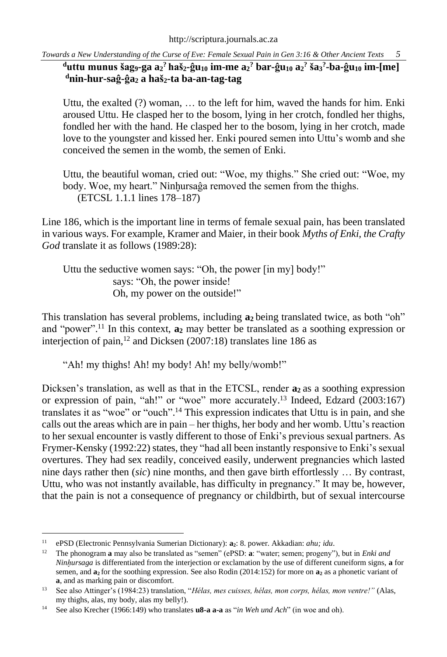$^{\rm d}$ uttu munus šag $_{\rm 9}$ -ga a $_{\rm 2}$ ? haš $_{\rm 2}$ -ĝu $_{\rm 10}$  im-me a $_{\rm 2}$ ? bar-ĝu $_{\rm 10}$  a $_{\rm 2}$ ? ša $_{\rm 3}$ ?-ba-ĝu $_{\rm 10}$  im-[me] **<sup>d</sup>nin-hur-saĝ-ĝa<sup>2</sup> a haš2-ta ba-an-tag-tag**

Uttu, the exalted (?) woman, … to the left for him, waved the hands for him. Enki aroused Uttu. He clasped her to the bosom, lying in her crotch, fondled her thighs, fondled her with the hand. He clasped her to the bosom, lying in her crotch, made love to the youngster and kissed her. Enki poured semen into Uttu's womb and she conceived the semen in the womb, the semen of Enki.

Uttu, the beautiful woman, cried out: "Woe, my thighs." She cried out: "Woe, my body. Woe, my heart." Ninhursaĝa removed the semen from the thighs. (ETCSL 1.1.1 lines 178–187)

Line 186, which is the important line in terms of female sexual pain, has been translated in various ways. For example, Kramer and Maier, in their book *Myths of Enki, the Crafty God* translate it as follows (1989:28):

Uttu the seductive women says: "Oh, the power [in my] body!" says: "Oh, the power inside! Oh, my power on the outside!"

This translation has several problems, including **a<sup>2</sup>** being translated twice, as both "oh" and "power". <sup>11</sup> In this context, **a<sup>2</sup>** may better be translated as a soothing expression or interjection of pain, <sup>12</sup> and Dicksen (2007:18) translates line 186 as

"Ah! my thighs! Ah! my body! Ah! my belly/womb!"

Dicksen's translation, as well as that in the ETCSL, render **a<sup>2</sup>** as a soothing expression or expression of pain, "ah!" or "woe" more accurately. <sup>13</sup> Indeed, Edzard (2003:167) translates it as "woe" or "ouch". <sup>14</sup> This expression indicates that Uttu is in pain, and she calls out the areas which are in pain – her thighs, her body and her womb. Uttu's reaction to her sexual encounter is vastly different to those of Enki's previous sexual partners. As Frymer-Kensky (1992:22) states, they "had all been instantly responsive to Enki's sexual overtures. They had sex readily, conceived easily, underwent pregnancies which lasted nine days rather then (*sic*) nine months, and then gave birth effortlessly … By contrast, Uttu, who was not instantly available, has difficulty in pregnancy." It may be, however, that the pain is not a consequence of pregnancy or childbirth, but of sexual intercourse

<sup>11</sup> ePSD (Electronic Pennsylvania Sumerian Dictionary): **a2**: 8. power. Akkadian: *ahu; idu*.

<sup>12</sup> The phonogram **a** may also be translated as "semen" (ePSD: **a**: "water; semen; progeny"), but in *Enki and Ninhursaga* is differentiated from the interjection or exclamation by the use of different cuneiform signs, **a** for semen, and **a<sup>2</sup>** for the soothing expression. See also Rodin (2014:152) for more on **a<sup>2</sup>** as a phonetic variant of **a**, and as marking pain or discomfort.

<sup>13</sup> See also Attinger's (1984:23) translation, "*Hélas, mes cuisses, hélas, mon corps, hélas, mon ventre!"* (Alas, my thighs, alas, my body, alas my belly!).

<sup>14</sup> See also Krecher (1966:149) who translates **u8-a a-a** as "*in Weh und Ach*" (in woe and oh).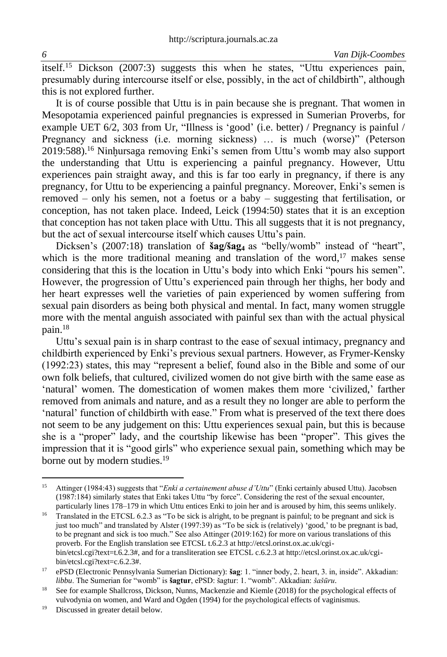itself. <sup>15</sup> Dickson (2007:3) suggests this when he states, "Uttu experiences pain, presumably during intercourse itself or else, possibly, in the act of childbirth", although this is not explored further.

It is of course possible that Uttu is in pain because she is pregnant. That women in Mesopotamia experienced painful pregnancies is expressed in Sumerian Proverbs, for example UET 6/2, 303 from Ur, "Illness is 'good' (i.e. better) / Pregnancy is painful / Pregnancy and sickness (i.e. morning sickness) … is much (worse)" (Peterson 2019:588).<sup>16</sup> Ninhursaga removing Enki's semen from Uttu's womb may also support the understanding that Uttu is experiencing a painful pregnancy. However, Uttu experiences pain straight away, and this is far too early in pregnancy, if there is any pregnancy, for Uttu to be experiencing a painful pregnancy. Moreover, Enki's semen is removed – only his semen, not a foetus or a baby – suggesting that fertilisation, or conception, has not taken place. Indeed, Leick (1994:50) states that it is an exception that conception has not taken place with Uttu. This all suggests that it is not pregnancy, but the act of sexual intercourse itself which causes Uttu's pain.

Dicksen's (2007:18) translation of **šag/šag<sup>4</sup>** as "belly/womb" instead of "heart", which is the more traditional meaning and translation of the word, $17$  makes sense considering that this is the location in Uttu's body into which Enki "pours his semen". However, the progression of Uttu's experienced pain through her thighs, her body and her heart expresses well the varieties of pain experienced by women suffering from sexual pain disorders as being both physical and mental. In fact, many women struggle more with the mental anguish associated with painful sex than with the actual physical pain. 18

Uttu's sexual pain is in sharp contrast to the ease of sexual intimacy, pregnancy and childbirth experienced by Enki's previous sexual partners. However, as Frymer-Kensky (1992:23) states, this may "represent a belief, found also in the Bible and some of our own folk beliefs, that cultured, civilized women do not give birth with the same ease as 'natural' women. The domestication of women makes them more 'civilized,' farther removed from animals and nature, and as a result they no longer are able to perform the 'natural' function of childbirth with ease." From what is preserved of the text there does not seem to be any judgement on this: Uttu experiences sexual pain, but this is because she is a "proper" lady, and the courtship likewise has been "proper". This gives the impression that it is "good girls" who experience sexual pain, something which may be borne out by modern studies.<sup>19</sup>

<sup>15</sup> Attinger (1984:43) suggests that "*Enki a certainement abuse d'Uttu*" (Enki certainly abused Uttu). Jacobsen (1987:184) similarly states that Enki takes Uttu "by force". Considering the rest of the sexual encounter, particularly lines 178–179 in which Uttu entices Enki to join her and is aroused by him, this seems unlikely.

<sup>&</sup>lt;sup>16</sup> Translated in the ETCSL 6.2.3 as "To be sick is alright, to be pregnant is painful; to be pregnant and sick is just too much" and translated by Alster (1997:39) as "To be sick is (relatively) 'good,' to be pregnant is bad, to be pregnant and sick is too much." See also Attinger (2019:162) for more on various translations of this proverb. For the English translation see ETCSL t.6.2.3 at http://etcsl.orinst.ox.ac.uk/cgibin/etcsl.cgi?text=t.6.2.3#, and for a transliteration see ETCSL c.6.2.3 at http://etcsl.orinst.ox.ac.uk/cgibin/etcsl.cgi?text=c.6.2.3#.

<sup>17</sup> ePSD (Electronic Pennsylvania Sumerian Dictionary): **šag**: 1. "inner body, 2. heart, 3. in, inside". Akkadian: *libbu*. The Sumerian for "womb" is **šagtur**, ePSD: šagtur: 1. "womb". Akkadian: *šašūru*.

<sup>&</sup>lt;sup>18</sup> See for example Shallcross, Dickson, Nunns, Mackenzie and Kiemle (2018) for the psychological effects of vulvodynia on women, and Ward and Ogden (1994) for the psychological effects of vaginismus.

<sup>&</sup>lt;sup>19</sup> Discussed in greater detail below.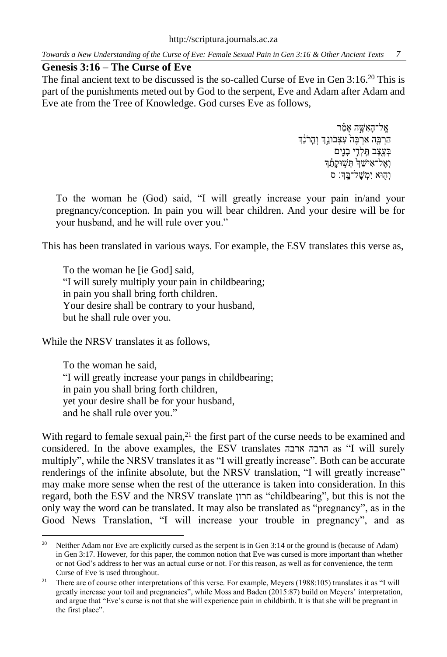### **Genesis 3:16 – The Curse of Eve**

The final ancient text to be discussed is the so-called Curse of Eve in Gen 3:16.<sup>20</sup> This is part of the punishments meted out by God to the serpent, Eve and Adam after Adam and Eve ate from the Tree of Knowledge. God curses Eve as follows,

> אַל־הָאָשֶׁה אָמַ֫ר ה<br>הַרְבָּה אַרְבֵּה עִצְבֹונֵךְ וְהֶרֹנֵךְ בְעֶצֶב תֵּלְדָי בָנִים וְאֶל־אִישֵׁךְ תְּשָׁוּקָתֶךָ וְהוֹא יִמ<sup>ְ</sup>שַל־בֵּךְ: ס

To the woman he (God) said, "I will greatly increase your pain in/and your pregnancy/conception. In pain you will bear children. And your desire will be for your husband, and he will rule over you."

This has been translated in various ways. For example, the ESV translates this verse as,

To the woman he [ie God] said, "I will surely multiply your pain in childbearing; in pain you shall bring forth children. Your desire shall be contrary to your husband, but he shall rule over you.

While the NRSV translates it as follows,

To the woman he said, "I will greatly increase your pangs in childbearing; in pain you shall bring forth children, yet your desire shall be for your husband, and he shall rule over you."

With regard to female sexual pain, $2<sup>1</sup>$  the first part of the curse needs to be examined and considered. In the above examples, the ESV translates ארבה הרבה as "I will surely multiply", while the NRSV translates it as "I will greatly increase". Both can be accurate renderings of the infinite absolute, but the NRSV translation, "I will greatly increase" may make more sense when the rest of the utterance is taken into consideration. In this regard, both the ESV and the NRSV translate חרון as "childbearing", but this is not the only way the word can be translated. It may also be translated as "pregnancy", as in the Good News Translation, "I will increase your trouble in pregnancy", and as

<sup>&</sup>lt;sup>20</sup> Neither Adam nor Eve are explicitly cursed as the serpent is in Gen 3:14 or the ground is (because of Adam) in Gen 3:17. However, for this paper, the common notion that Eve was cursed is more important than whether or not God's address to her was an actual curse or not. For this reason, as well as for convenience, the term Curse of Eve is used throughout.

<sup>&</sup>lt;sup>21</sup> There are of course other interpretations of this verse. For example, Meyers (1988:105) translates it as "I will greatly increase your toil and pregnancies", while Moss and Baden (2015:87) build on Meyers' interpretation, and argue that "Eve's curse is not that she will experience pain in childbirth. It is that she will be pregnant in the first place".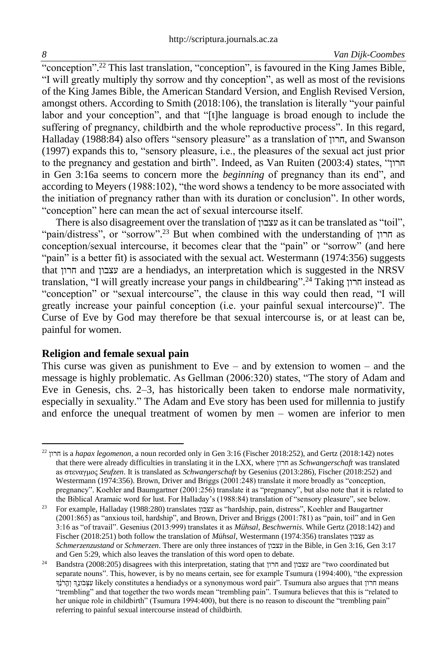"conception".<sup>22</sup> This last translation, "conception", is favoured in the King James Bible, "I will greatly multiply thy sorrow and thy conception", as well as most of the revisions of the King James Bible, the American Standard Version, and English Revised Version, amongst others. According to Smith (2018:106), the translation is literally "your painful labor and your conception", and that "[t]he language is broad enough to include the suffering of pregnancy, childbirth and the whole reproductive process". In this regard, Halladay (1988:84) also offers "sensory pleasure" as a translation of חרון, and Swanson (1997) expands this to, "sensory pleasure, i.e., the pleasures of the sexual act just prior to the pregnancy and gestation and birth". Indeed, as Van Ruiten (2003:4) states, " חרון in Gen 3:16a seems to concern more the *beginning* of pregnancy than its end", and according to Meyers (1988:102), "the word shows a tendency to be more associated with the initiation of pregnancy rather than with its duration or conclusion". In other words, "conception" here can mean the act of sexual intercourse itself.

There is also disagreement over the translation of עצבון as it can be translated as "toil", "pain/distress", or "sorrow". <sup>23</sup> But when combined with the understanding of חרון as conception/sexual intercourse, it becomes clear that the "pain" or "sorrow" (and here "pain" is a better fit) is associated with the sexual act. Westermann (1974:356) suggests that חרון and עצבון are a hendiadys, an interpretation which is suggested in the NRSV translation, "I will greatly increase your pangs in childbearing". <sup>24</sup> Taking חרון instead as "conception" or "sexual intercourse", the clause in this way could then read, "I will greatly increase your painful conception (i.e. your painful sexual intercourse)". The Curse of Eve by God may therefore be that sexual intercourse is, or at least can be, painful for women.

#### **Religion and female sexual pain**

This curse was given as punishment to Eve – and by extension to women – and the message is highly problematic. As Gellman (2006:320) states, "The story of Adam and Eve in Genesis, chs. 2–3, has historically been taken to endorse male normativity, especially in sexuality." The Adam and Eve story has been used for millennia to justify and enforce the unequal treatment of women by men – women are inferior to men

<sup>22</sup> חרון is a *hapax legomenon*, a noun recorded only in Gen 3:16 (Fischer 2018:252), and Gertz (2018:142) notes that there were already difficulties in translating it in the LXX, where חרון as *Schwangerschaft* was translated as στεναγμος *Seufzen*. It is translated as *Schwangerschaft* by Gesenius (2013:286), Fischer (2018:252) and Westermann (1974:356). Brown, Driver and Briggs (2001:248) translate it more broadly as "conception, pregnancy". Koehler and Baumgartner (2001:256) translate it as "pregnancy", but also note that it is related to the Biblical Aramaic word for lust. For Halladay's (1988:84) translation of "sensory pleasure", see below.

<sup>23</sup> For example, Halladay (1988:280) translates עצבון as "hardship, pain, distress", Koehler and Baugartner (2001:865) as "anxious toil, hardship", and Brown, Driver and Briggs (2001:781) as "pain, toil" and in Gen 3:16 as "of travail". Gesenius (2013:999) translates it as *Mühsal, Beschwernis*. While Gertz (2018:142) and Fischer (2018:251) both follow the translation of *Mühsal*, Westermann (1974:356) translates עצבון as *Schmerzenzustand* or *Schmerzen*. There are only three instances of עצבון in the Bible, in Gen 3:16, Gen 3:17 and Gen 5:29, which also leaves the translation of this word open to debate.

<sup>&</sup>lt;sup>24</sup> Bandstra (2008:205) disagrees with this interpretation, stating that חרון and עצבון are "two coordinated but separate nouns". This, however, is by no means certain, see for example Tsumura (1994:400), "the expression חרון נִצְּבֹּוֹנְךְ וְהֲרֹבֶּךְ וְהַרֹּבֶּךְ הַחֹוּנֹדִ Tsumura also argues that חרון means חרון means חרון me "trembling" and that together the two words mean "trembling pain". Tsumura believes that this is "related to her unique role in childbirth" (Tsumura 1994:400), but there is no reason to discount the "trembling pain" referring to painful sexual intercourse instead of childbirth.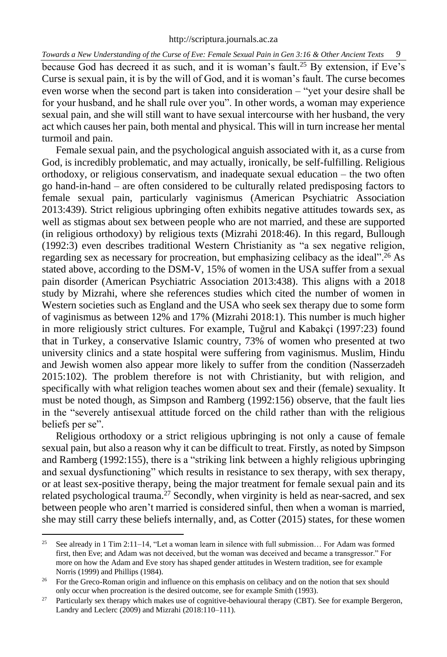because God has decreed it as such, and it is woman's fault. <sup>25</sup> By extension, if Eve's Curse is sexual pain, it is by the will of God, and it is woman's fault. The curse becomes even worse when the second part is taken into consideration – "yet your desire shall be for your husband, and he shall rule over you". In other words, a woman may experience sexual pain, and she will still want to have sexual intercourse with her husband, the very act which causes her pain, both mental and physical. This will in turn increase her mental turmoil and pain.

Female sexual pain, and the psychological anguish associated with it, as a curse from God, is incredibly problematic, and may actually, ironically, be self-fulfilling. Religious orthodoxy, or religious conservatism, and inadequate sexual education – the two often go hand-in-hand – are often considered to be culturally related predisposing factors to female sexual pain, particularly vaginismus (American Psychiatric Association 2013:439). Strict religious upbringing often exhibits negative attitudes towards sex, as well as stigmas about sex between people who are not married, and these are supported (in religious orthodoxy) by religious texts (Mizrahi 2018:46). In this regard, Bullough (1992:3) even describes traditional Western Christianity as "a sex negative religion, regarding sex as necessary for procreation, but emphasizing celibacy as the ideal". <sup>26</sup> As stated above, according to the DSM-V, 15% of women in the USA suffer from a sexual pain disorder (American Psychiatric Association 2013:438). This aligns with a 2018 study by Mizrahi, where she references studies which cited the number of women in Western societies such as England and the USA who seek sex therapy due to some form of vaginismus as between 12% and 17% (Mizrahi 2018:1). This number is much higher in more religiously strict cultures. For example, Tuğrul and Kabakçi (1997:23) found that in Turkey, a conservative Islamic country, 73% of women who presented at two university clinics and a state hospital were suffering from vaginismus. Muslim, Hindu and Jewish women also appear more likely to suffer from the condition (Nasserzadeh 2015:102). The problem therefore is not with Christianity, but with religion, and specifically with what religion teaches women about sex and their (female) sexuality. It must be noted though, as Simpson and Ramberg (1992:156) observe, that the fault lies in the "severely antisexual attitude forced on the child rather than with the religious beliefs per se".

Religious orthodoxy or a strict religious upbringing is not only a cause of female sexual pain, but also a reason why it can be difficult to treat. Firstly, as noted by Simpson and Ramberg (1992:155), there is a "striking link between a highly religious upbringing and sexual dysfunctioning" which results in resistance to sex therapy, with sex therapy, or at least sex-positive therapy, being the major treatment for female sexual pain and its related psychological trauma.<sup>27</sup> Secondly, when virginity is held as near-sacred, and sex between people who aren't married is considered sinful, then when a woman is married, she may still carry these beliefs internally, and, as Cotter (2015) states, for these women

<sup>&</sup>lt;sup>25</sup> See already in 1 Tim 2:11–14, "Let a woman learn in silence with full submission... For Adam was formed first, then Eve; and Adam was not deceived, but the woman was deceived and became a transgressor." For more on how the Adam and Eve story has shaped gender attitudes in Western tradition, see for example Norris (1999) and Phillips (1984).

<sup>&</sup>lt;sup>26</sup> For the Greco-Roman origin and influence on this emphasis on celibacy and on the notion that sex should only occur when procreation is the desired outcome, see for example Smith (1993).

<sup>&</sup>lt;sup>27</sup> Particularly sex therapy which makes use of cognitive-behavioural therapy (CBT). See for example Bergeron, Landry and Leclerc (2009) and Mizrahi (2018:110–111).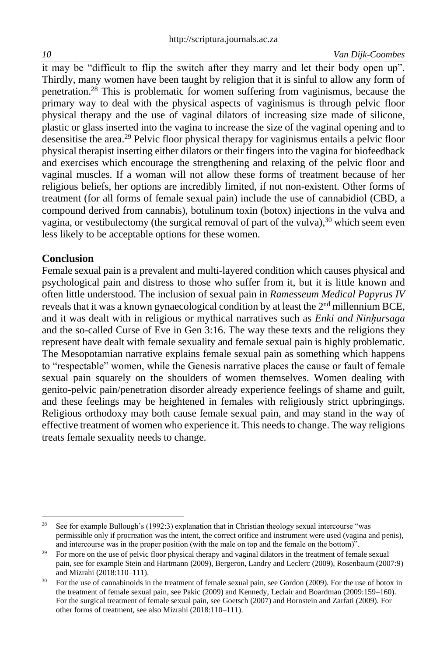it may be "difficult to flip the switch after they marry and let their body open up". Thirdly, many women have been taught by religion that it is sinful to allow any form of penetration. <sup>28</sup> This is problematic for women suffering from vaginismus, because the primary way to deal with the physical aspects of vaginismus is through pelvic floor physical therapy and the use of vaginal dilators of increasing size made of silicone, plastic or glass inserted into the vagina to increase the size of the vaginal opening and to desensitise the area. <sup>29</sup> Pelvic floor physical therapy for vaginismus entails a pelvic floor physical therapist inserting either dilators or their fingers into the vagina for biofeedback and exercises which encourage the strengthening and relaxing of the pelvic floor and vaginal muscles. If a woman will not allow these forms of treatment because of her religious beliefs, her options are incredibly limited, if not non-existent. Other forms of treatment (for all forms of female sexual pain) include the use of cannabidiol (CBD, a compound derived from cannabis), botulinum toxin (botox) injections in the vulva and vagina, or vestibulectomy (the surgical removal of part of the vulva),<sup>30</sup> which seem even less likely to be acceptable options for these women.

### **Conclusion**

Female sexual pain is a prevalent and multi-layered condition which causes physical and psychological pain and distress to those who suffer from it, but it is little known and often little understood. The inclusion of sexual pain in *Ramesseum Medical Papyrus IV* reveals that it was a known gynaecological condition by at least the  $2<sup>nd</sup>$  millennium BCE, and it was dealt with in religious or mythical narratives such as *Enki and Ninhursaga* and the so-called Curse of Eve in Gen 3:16. The way these texts and the religions they represent have dealt with female sexuality and female sexual pain is highly problematic. The Mesopotamian narrative explains female sexual pain as something which happens to "respectable" women, while the Genesis narrative places the cause or fault of female sexual pain squarely on the shoulders of women themselves. Women dealing with genito-pelvic pain/penetration disorder already experience feelings of shame and guilt, and these feelings may be heightened in females with religiously strict upbringings. Religious orthodoxy may both cause female sexual pain, and may stand in the way of effective treatment of women who experience it. This needs to change. The way religions treats female sexuality needs to change.

<sup>&</sup>lt;sup>28</sup> See for example Bullough's  $(1992:3)$  explanation that in Christian theology sexual intercourse "was permissible only if procreation was the intent, the correct orifice and instrument were used (vagina and penis), and intercourse was in the proper position (with the male on top and the female on the bottom)".

<sup>&</sup>lt;sup>29</sup> For more on the use of pelvic floor physical therapy and vaginal dilators in the treatment of female sexual pain, see for example Stein and Hartmann (2009), Bergeron, Landry and Leclerc (2009), Rosenbaum (2007:9) and Mizrahi (2018:110–111).

<sup>&</sup>lt;sup>30</sup> For the use of cannabinoids in the treatment of female sexual pain, see Gordon (2009). For the use of botox in the treatment of female sexual pain, see Pakic (2009) and Kennedy, Leclair and Boardman (2009:159–160). For the surgical treatment of female sexual pain, see Goetsch (2007) and Bornstein and Zarfati (2009). For other forms of treatment, see also Mizrahi (2018:110–111).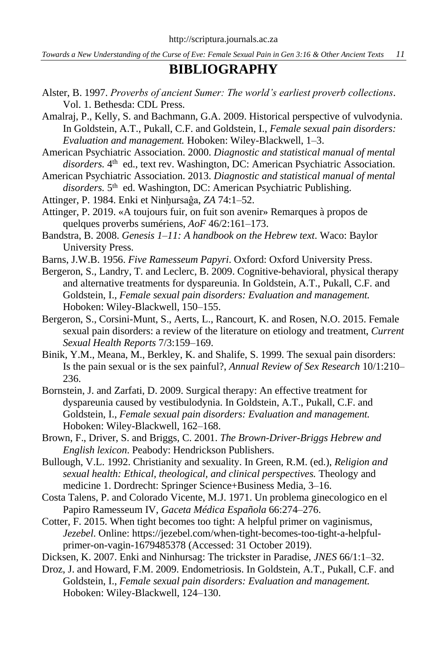## **BIBLIOGRAPHY**

- Alster, B. 1997. *Proverbs of ancient Sumer: The world's earliest proverb collections*. Vol. 1. Bethesda: CDL Press.
- Amalraj, P., Kelly, S. and Bachmann, G.A. 2009. Historical perspective of vulvodynia. In Goldstein, A.T., Pukall, C.F. and Goldstein, I., *Female sexual pain disorders: Evaluation and management.* Hoboken: Wiley-Blackwell, 1–3.
- American Psychiatric Association. 2000. *Diagnostic and statistical manual of mental*  disorders. 4<sup>th</sup> ed., text rev. Washington, DC: American Psychiatric Association.
- American Psychiatric Association. 2013. *Diagnostic and statistical manual of mental*  disorders. 5<sup>th</sup> ed. Washington, DC: American Psychiatric Publishing.
- Attinger, P. 1984. Enki et Ninh̬ursaĝa, *ZA* 74:1–52.
- Attinger, P. 2019. «A toujours fuir, on fuit son avenir» Remarques à propos de quelques proverbs sumériens, *AoF* 46/2:161–173.
- Bandstra, B. 2008. *Genesis 1–11: A handbook on the Hebrew text*. Waco: Baylor University Press.
- Barns, J.W.B. 1956. *Five Ramesseum Papyri*. Oxford: Oxford University Press.
- Bergeron, S., Landry, T. and Leclerc, B. 2009. Cognitive-behavioral, physical therapy and alternative treatments for dyspareunia. In Goldstein, A.T., Pukall, C.F. and Goldstein, I., *Female sexual pain disorders: Evaluation and management.* Hoboken: Wiley-Blackwell, 150–155.
- Bergeron, S., Corsini-Munt, S., Aerts, L., Rancourt, K. and Rosen, N.O. 2015. Female sexual pain disorders: a review of the literature on etiology and treatment, *Current Sexual Health Reports* 7/3:159–169.
- Binik, Y.M., Meana, M., Berkley, K. and Shalife, S. 1999. The sexual pain disorders: Is the pain sexual or is the sex painful?, *Annual Review of Sex Research* 10/1:210– 236.
- Bornstein, J. and Zarfati, D. 2009. Surgical therapy: An effective treatment for dyspareunia caused by vestibulodynia. In Goldstein, A.T., Pukall, C.F. and Goldstein, I., *Female sexual pain disorders: Evaluation and management.* Hoboken: Wiley-Blackwell, 162–168.
- Brown, F., Driver, S. and Briggs, C. 2001. *The Brown-Driver-Briggs Hebrew and English lexicon*. Peabody: Hendrickson Publishers.
- Bullough, V.L. 1992. Christianity and sexuality. In Green, R.M. (ed.), *Religion and sexual health: Ethical, theological, and clinical perspectives.* Theology and medicine 1. Dordrecht: Springer Science+Business Media, 3–16.
- Costa Talens, P. and Colorado Vicente, M.J. 1971. Un problema ginecologico en el Papiro Ramesseum IV, *Gaceta Médica Española* 66:274–276.
- Cotter, F. 2015. When tight becomes too tight: A helpful primer on vaginismus, *Jezebel*. Online: https://jezebel.com/when-tight-becomes-too-tight-a-helpfulprimer-on-vagin-1679485378 (Accessed: 31 October 2019).
- Dicksen, K. 2007. Enki and Ninhursag: The trickster in Paradise, *JNES* 66/1:1–32.
- Droz, J. and Howard, F.M. 2009. Endometriosis. In Goldstein, A.T., Pukall, C.F. and Goldstein, I., *Female sexual pain disorders: Evaluation and management.* Hoboken: Wiley-Blackwell, 124–130.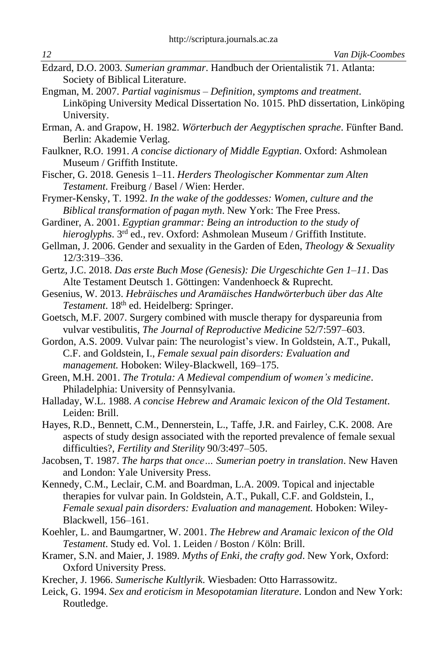- Edzard, D.O. 2003. *Sumerian grammar*. Handbuch der Orientalistik 71. Atlanta: Society of Biblical Literature.
- Engman, M. 2007. *Partial vaginismus – Definition, symptoms and treatment*. Linköping University Medical Dissertation No. 1015. PhD dissertation, Linköping University.
- Erman, A. and Grapow, H. 1982. *Wörterbuch der Aegyptischen sprache*. Fünfter Band. Berlin: Akademie Verlag.
- Faulkner, R.O. 1991. *A concise dictionary of Middle Egyptian*. Oxford: Ashmolean Museum / Griffith Institute.
- Fischer, G. 2018. Genesis 1–11. *Herders Theologischer Kommentar zum Alten Testament*. Freiburg / Basel / Wien: Herder.
- Frymer-Kensky, T. 1992. *In the wake of the goddesses: Women, culture and the Biblical transformation of pagan myth*. New York: The Free Press.
- Gardiner, A. 2001. *Egyptian grammar: Being an introduction to the study of*  hieroglyphs. 3<sup>rd</sup> ed., rev. Oxford: Ashmolean Museum / Griffith Institute.
- Gellman, J. 2006. Gender and sexuality in the Garden of Eden, *Theology & Sexuality* 12/3:319–336.
- Gertz, J.C. 2018. *Das erste Buch Mose (Genesis): Die Urgeschichte Gen 1–11*. Das Alte Testament Deutsch 1. Göttingen: Vandenhoeck & Ruprecht.
- Gesenius, W. 2013. *Hebräisches und Aramäisches Handwörterbuch über das Alte Testament*. 18th ed. Heidelberg: Springer.
- Goetsch, M.F. 2007. Surgery combined with muscle therapy for dyspareunia from vulvar vestibulitis, *The Journal of Reproductive Medicine* 52/7:597–603.
- Gordon, A.S. 2009. Vulvar pain: The neurologist's view. In Goldstein, A.T., Pukall, C.F. and Goldstein, I., *Female sexual pain disorders: Evaluation and management.* Hoboken: Wiley-Blackwell, 169–175.
- Green, M.H. 2001. *The Trotula: A Medieval compendium of women's medicine*. Philadelphia: University of Pennsylvania.
- Halladay, W.L. 1988. *A concise Hebrew and Aramaic lexicon of the Old Testament*. Leiden: Brill.
- Hayes, R.D., Bennett, C.M., Dennerstein, L., Taffe, J.R. and Fairley, C.K. 2008. Are aspects of study design associated with the reported prevalence of female sexual difficulties?, *Fertility and Sterility* 90/3:497–505.

Jacobsen, T. 1987. *The harps that once… Sumerian poetry in translation*. New Haven and London: Yale University Press.

- Kennedy, C.M., Leclair, C.M. and Boardman, L.A. 2009. Topical and injectable therapies for vulvar pain. In Goldstein, A.T., Pukall, C.F. and Goldstein, I., *Female sexual pain disorders: Evaluation and management.* Hoboken: Wiley-Blackwell, 156–161.
- Koehler, L. and Baumgartner, W. 2001. *The Hebrew and Aramaic lexicon of the Old Testament*. Study ed. Vol. 1. Leiden / Boston / Köln: Brill.
- Kramer, S.N. and Maier, J. 1989. *Myths of Enki, the crafty god*. New York, Oxford: Oxford University Press.
- Krecher, J. 1966. *Sumerische Kultlyrik*. Wiesbaden: Otto Harrassowitz.
- Leick, G. 1994. *Sex and eroticism in Mesopotamian literature*. London and New York: Routledge.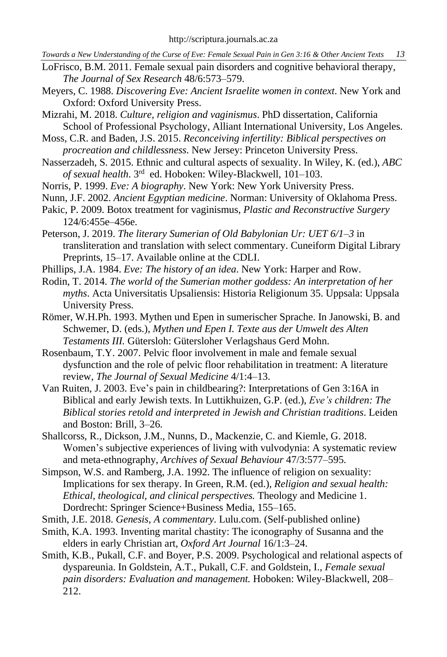- LoFrisco, B.M. 2011. Female sexual pain disorders and cognitive behavioral therapy, *The Journal of Sex Research* 48/6:573–579.
- Meyers, C. 1988. *Discovering Eve: Ancient Israelite women in context*. New York and Oxford: Oxford University Press.
- Mizrahi, M. 2018. *Culture, religion and vaginismus*. PhD dissertation, California School of Professional Psychology, Alliant International University, Los Angeles.
- Moss, C.R. and Baden, J.S. 2015. *Reconceiving infertility: Biblical perspectives on procreation and childlessness*. New Jersey: Princeton University Press.
- Nasserzadeh, S. 2015. Ethnic and cultural aspects of sexuality. In Wiley, K. (ed.), *ABC*  of sexual health. 3<sup>rd</sup> ed. Hoboken: Wiley-Blackwell, 101-103.
- Norris, P. 1999. *Eve: A biography*. New York: New York University Press.
- Nunn, J.F. 2002. *Ancient Egyptian medicine*. Norman: University of Oklahoma Press.
- Pakic, P. 2009. Botox treatment for vaginismus, *Plastic and Reconstructive Surgery* 124/6:455e–456e.
- Peterson, J. 2019. *The literary Sumerian of Old Babylonian Ur: UET 6/1–3* in transliteration and translation with select commentary. Cuneiform Digital Library Preprints, 15–17. Available online at the CDLI.
- Phillips, J.A. 1984. *Eve: The history of an idea*. New York: Harper and Row.
- Rodin, T. 2014. *The world of the Sumerian mother goddess: An interpretation of her myths*. Acta Universitatis Upsaliensis: Historia Religionum 35. Uppsala: Uppsala University Press.
- Römer, W.H.Ph. 1993. Mythen und Epen in sumerischer Sprache. In Janowski, B. and Schwemer, D. (eds.), *Mythen und Epen I. Texte aus der Umwelt des Alten Testaments III.* Gütersloh: Gütersloher Verlagshaus Gerd Mohn.
- Rosenbaum, T.Y. 2007. Pelvic floor involvement in male and female sexual dysfunction and the role of pelvic floor rehabilitation in treatment: A literature review, *The Journal of Sexual Medicine* 4/1:4–13.
- Van Ruiten, J. 2003. Eve's pain in childbearing?: Interpretations of Gen 3:16A in Biblical and early Jewish texts. In Luttikhuizen, G.P. (ed.), *Eve's children: The Biblical stories retold and interpreted in Jewish and Christian traditions*. Leiden and Boston: Brill, 3–26.
- Shallcorss, R., Dickson, J.M., Nunns, D., Mackenzie, C. and Kiemle, G. 2018. Women's subjective experiences of living with vulvodynia: A systematic review and meta-ethnography, *Archives of Sexual Behaviour* 47/3:577–595.
- Simpson, W.S. and Ramberg, J.A. 1992. The influence of religion on sexuality: Implications for sex therapy. In Green, R.M. (ed.), *Religion and sexual health: Ethical, theological, and clinical perspectives.* Theology and Medicine 1. Dordrecht: Springer Science+Business Media, 155–165.
- Smith, J.E. 2018. *Genesis, A commentary*. Lulu.com. (Self-published online)
- Smith, K.A. 1993. Inventing marital chastity: The iconography of Susanna and the elders in early Christian art, *Oxford Art Journal* 16/1:3–24.
- Smith, K.B., Pukall, C.F. and Boyer, P.S. 2009. Psychological and relational aspects of dyspareunia. In Goldstein, A.T., Pukall, C.F. and Goldstein, I., *Female sexual pain disorders: Evaluation and management.* Hoboken: Wiley-Blackwell, 208– 212.